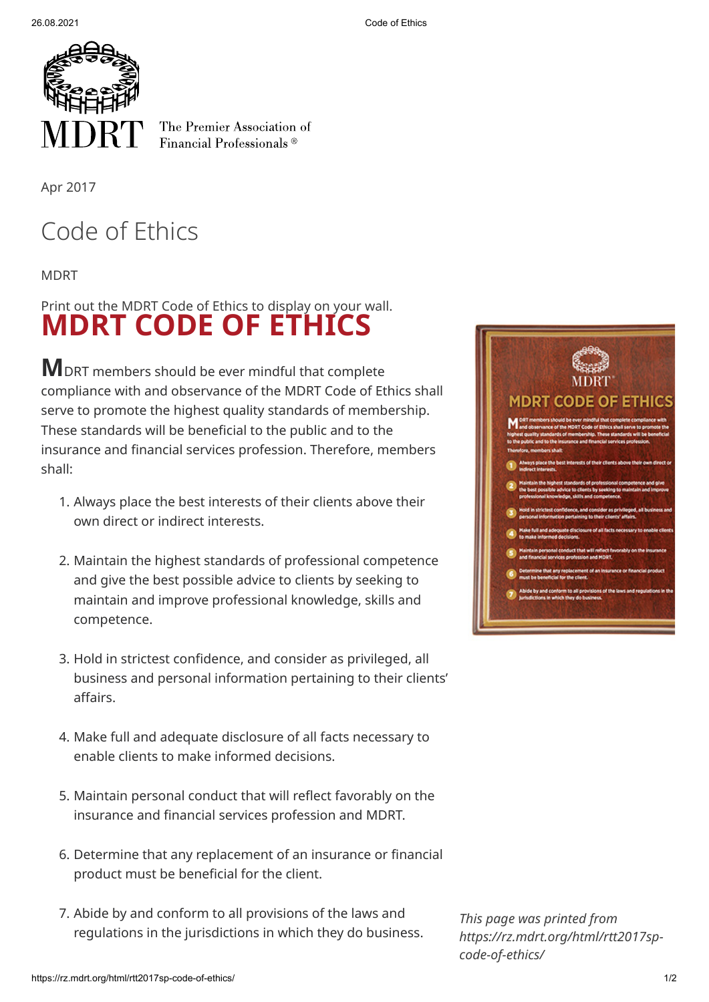

The Premier Association of Financial Professionals<sup>®</sup>

Apr 2017

## Code of Ethics

MDRT

## **MDRT CODE OF ETHICS** Print out the MDRT Code of Ethics to display on your wall.

**M**DRT members should be ever mindful that complete compliance with and observance of the MDRT Code of Ethics shall serve to promote the highest quality standards of membership. These standards will be beneficial to the public and to the insurance and financial services profession. Therefore, members shall:

- 1. Always place the best interests of their clients above their own direct or indirect interests.
- 2. Maintain the highest standards of professional competence and give the best possible advice to clients by seeking to maintain and improve professional knowledge, skills and competence.
- 3. Hold in strictest confidence, and consider as privileged, all business and personal information pertaining to their clients' affairs.
- 4. Make full and adequate disclosure of all facts necessary to enable clients to make informed decisions.
- 5. Maintain personal conduct that will reflect favorably on the insurance and financial services profession and MDRT.
- 6. Determine that any replacement of an insurance or financial product must be beneficial for the client.
- 7. Abide by and conform to all provisions of the laws and regulations in the jurisdictions in which they do business.



*This page was printed from https://rz.mdrt.org/html/rtt2017spcode-of-ethics/*